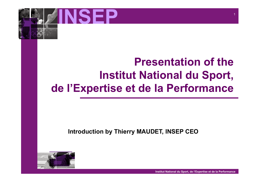

## **Presentation of the Institut National du Sport, de l'Expertise et de la Performance**

#### **Introduction by Thierry MAUDET, INSEP CEO**

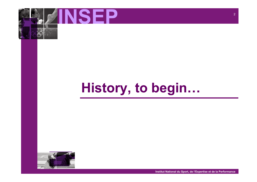

# **History, to begin…**

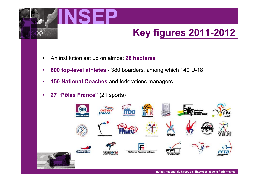

## **Key figures 2011-2012**

- An institution set up on almost **28 hectares**
- **600 top-level athletes** 380 boarders, among which 140 U-18
- **150 National Coaches** and federations managers
- **27 "Pôles France"** (21 sports)

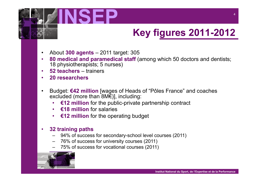

## **Key figures 2011-2012**

- About **300 agents** 2011 target: 305
- **80 medical and paramedical staff** (among which 50 doctors and dentists; 18 physiotherapists; 5 nurses)
- **52 teachers**  trainers
- **20 researchers**
- Budget: **€42 million** [wages of Heads of "Pôles France" and coaches excluded (more than 8M€)], including:
	- **€12 million** for the public-private partnership contract
	- **€18 million** for salaries
	- **€12 million** for the operating budget

#### • **32 training paths**

- 94% of success for secondary-school level courses (2011)
- 76% of success for university courses (2011)
- 75% of success for vocational courses (2011)

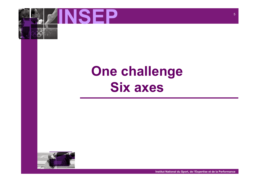

# **One challenge Six axes**

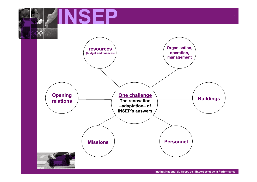

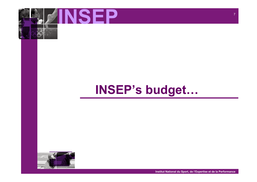

## **INSEP's budget…**

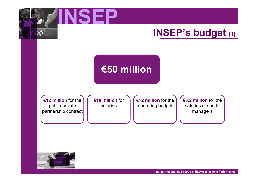

## **INSEP's budget (1)**

## **€50 million**

**€12 million** for the public-private partnership contract **€18 million** for salaries

**€12 million** for the operating budget

**€8,2 million** for the salaries of sports managers

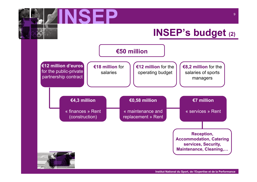

#### **INSEP's budget (2)**



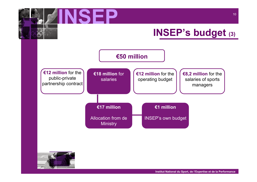

## **INSEP's budget (3)**



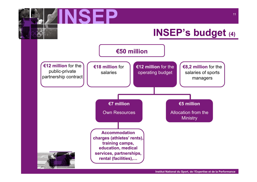

### **INSEP's budget (4)**

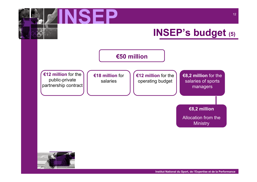

### **INSEP's budget (5)**



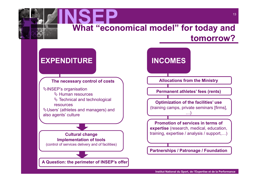

#### **EXPENDITURE**

**The necessary control of costs** 

!INSEP's organisation  $\%$  Human resources

 $\%$  Technical and technological

resources

**∜Users' (athletes and managers) and** also agents' culture

**Cultural change Implementation of tools**  (control of services delivery and of facilities)

**A Question: the perimeter of INSEP's offer** 

## **INCOMES**

**Allocations from the Ministry** 

**Permanent athletes' fees (rents)** 0

(training camps, private seminars [firms], **Optimization of the facilities' use**  …)

0 training, expertise / analysis / support,…) **Promotion of services in terms of expertise** (research, medical, education,

**Partnerships / Patronage / Foundation**